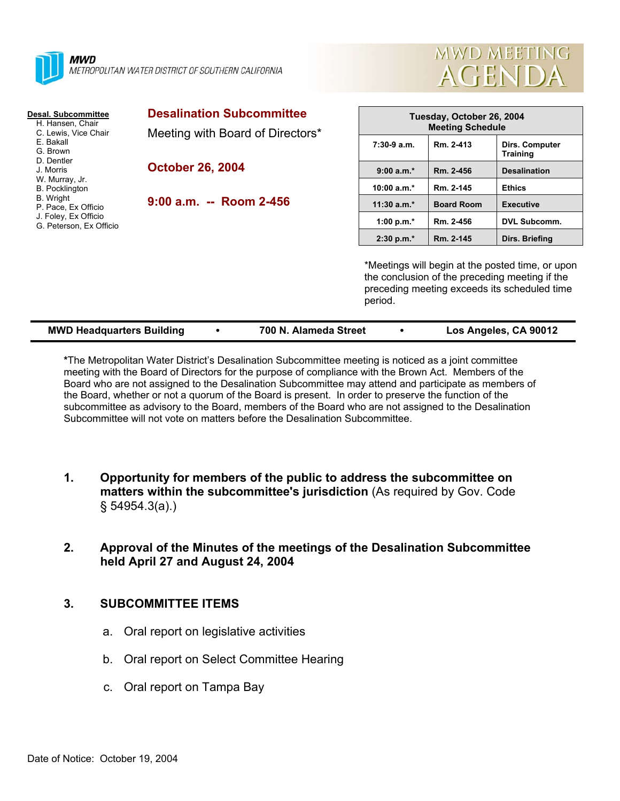



| Desal. Subcommittee<br>H. Hansen, Chair<br>C. Lewis, Vice Chair<br>E. Bakall<br>G. Brown<br>D. Dentler<br>J. Morris<br>W. Murray, Jr.<br><b>B.</b> Pocklington<br><b>B.</b> Wright<br>P. Pace, Ex Officio<br>J. Foley, Ex Officio<br>G. Peterson, Ex Officio | <b>Desalination Subcommittee</b><br>Meeting with Board of Directors*<br><b>October 26, 2004</b><br>$9:00$ a.m. -- Room 2-456 | Tuesday, October 26, 2004<br><b>Meeting Schedule</b>                                                                                                          |                   |                                   |
|--------------------------------------------------------------------------------------------------------------------------------------------------------------------------------------------------------------------------------------------------------------|------------------------------------------------------------------------------------------------------------------------------|---------------------------------------------------------------------------------------------------------------------------------------------------------------|-------------------|-----------------------------------|
|                                                                                                                                                                                                                                                              |                                                                                                                              | $7:30-9a.m.$                                                                                                                                                  | Rm. 2-413         | Dirs. Computer<br><b>Training</b> |
|                                                                                                                                                                                                                                                              |                                                                                                                              | $9:00 a.m.*$                                                                                                                                                  | Rm. 2-456         | <b>Desalination</b>               |
|                                                                                                                                                                                                                                                              |                                                                                                                              | 10:00 $a.m.*$                                                                                                                                                 | Rm. 2-145         | <b>Ethics</b>                     |
|                                                                                                                                                                                                                                                              |                                                                                                                              | $11:30$ a.m.*                                                                                                                                                 | <b>Board Room</b> | <b>Executive</b>                  |
|                                                                                                                                                                                                                                                              |                                                                                                                              | 1:00 p.m. $*$                                                                                                                                                 | Rm. 2-456         | <b>DVL Subcomm.</b>               |
|                                                                                                                                                                                                                                                              |                                                                                                                              | $2:30 p.m.*$                                                                                                                                                  | Rm. 2-145         | Dirs. Briefing                    |
|                                                                                                                                                                                                                                                              |                                                                                                                              | *Meetings will begin at the posted time, or upon<br>the conclusion of the preceding meeting if the<br>preceding meeting exceeds its scheduled time<br>period. |                   |                                   |

| <b>MWD Headquarters Building</b> | 700 N. Alameda Street | Los Angeles, CA 90012 |
|----------------------------------|-----------------------|-----------------------|
|                                  |                       |                       |

**\***The Metropolitan Water District's Desalination Subcommittee meeting is noticed as a joint committee meeting with the Board of Directors for the purpose of compliance with the Brown Act. Members of the Board who are not assigned to the Desalination Subcommittee may attend and participate as members of the Board, whether or not a quorum of the Board is present. In order to preserve the function of the subcommittee as advisory to the Board, members of the Board who are not assigned to the Desalination Subcommittee will not vote on matters before the Desalination Subcommittee.

- **1. Opportunity for members of the public to address the subcommittee on matters within the subcommittee's jurisdiction** (As required by Gov. Code § 54954.3(a).)
- **2. Approval of the Minutes of the meetings of the Desalination Subcommittee held April 27 and August 24, 2004**

## **3. SUBCOMMITTEE ITEMS**

- a. Oral report on legislative activities
- b. Oral report on Select Committee Hearing
- c. Oral report on Tampa Bay